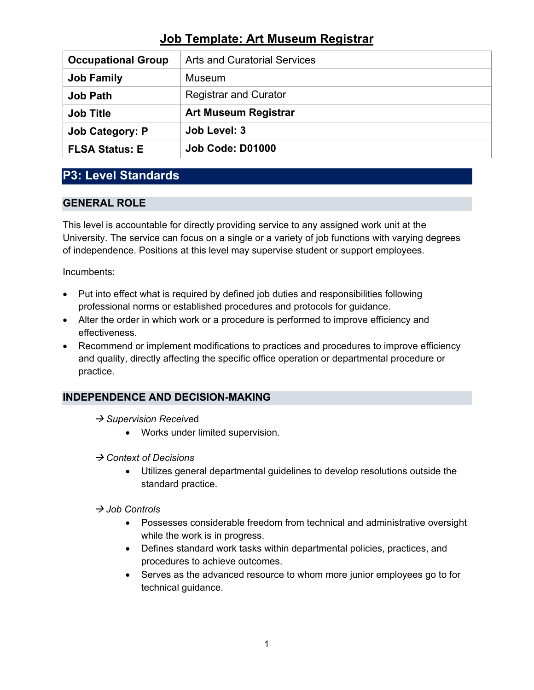| <b>Occupational Group</b> | <b>Arts and Curatorial Services</b> |
|---------------------------|-------------------------------------|
| <b>Job Family</b>         | <b>Museum</b>                       |
| <b>Job Path</b>           | <b>Registrar and Curator</b>        |
| <b>Job Title</b>          | <b>Art Museum Registrar</b>         |
| <b>Job Category: P</b>    | Job Level: 3                        |
| <b>FLSA Status: E</b>     | Job Code: D01000                    |

# **P3: Level Standards**

## **GENERAL ROLE**

This level is accountable for directly providing service to any assigned work unit at the University. The service can focus on a single or a variety of job functions with varying degrees of independence. Positions at this level may supervise student or support employees.

Incumbents:

- Put into effect what is required by defined job duties and responsibilities following professional norms or established procedures and protocols for guidance.
- Alter the order in which work or a procedure is performed to improve efficiency and effectiveness.
- Recommend or implement modifications to practices and procedures to improve efficiency and quality, directly affecting the specific office operation or departmental procedure or practice.

# **INDEPENDENCE AND DECISION-MAKING**

- → Supervision Received
	- Works under limited supervision.
- *Context of Decisions*
	- Utilizes general departmental guidelines to develop resolutions outside the standard practice.

### *Job Controls*

- Possesses considerable freedom from technical and administrative oversight while the work is in progress.
- Defines standard work tasks within departmental policies, practices, and procedures to achieve outcomes.
- Serves as the advanced resource to whom more junior employees go to for technical guidance.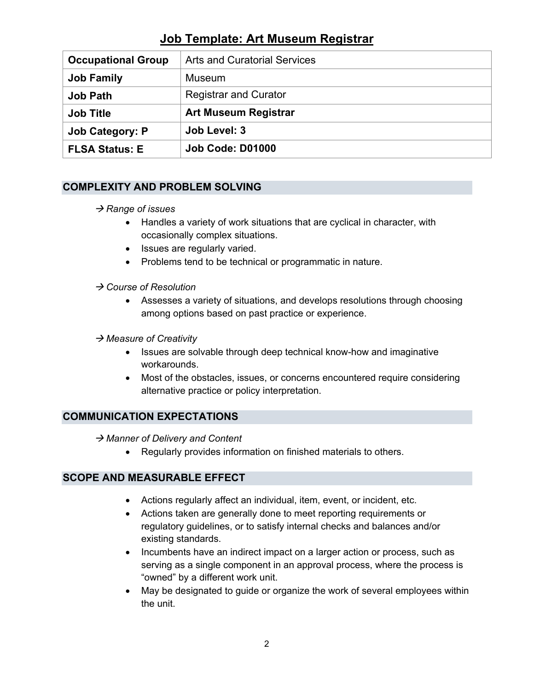| <b>Occupational Group</b> | <b>Arts and Curatorial Services</b> |
|---------------------------|-------------------------------------|
| <b>Job Family</b>         | <b>Museum</b>                       |
| <b>Job Path</b>           | <b>Registrar and Curator</b>        |
| <b>Job Title</b>          | <b>Art Museum Registrar</b>         |
| <b>Job Category: P</b>    | Job Level: 3                        |
| <b>FLSA Status: E</b>     | <b>Job Code: D01000</b>             |

## **COMPLEXITY AND PROBLEM SOLVING**

### → Range of *issues*

- Handles a variety of work situations that are cyclical in character, with occasionally complex situations.
- Issues are regularly varied.
- Problems tend to be technical or programmatic in nature.

### *Course of Resolution*

- Assesses a variety of situations, and develops resolutions through choosing among options based on past practice or experience.
- *Measure of Creativity*
	- Issues are solvable through deep technical know-how and imaginative workarounds.
	- Most of the obstacles, issues, or concerns encountered require considering alternative practice or policy interpretation.

### **COMMUNICATION EXPECTATIONS**

→ Manner of Delivery and Content

• Regularly provides information on finished materials to others.

### **SCOPE AND MEASURABLE EFFECT**

- Actions regularly affect an individual, item, event, or incident, etc.
- Actions taken are generally done to meet reporting requirements or regulatory guidelines, or to satisfy internal checks and balances and/or existing standards.
- Incumbents have an indirect impact on a larger action or process, such as serving as a single component in an approval process, where the process is "owned" by a different work unit.
- May be designated to guide or organize the work of several employees within the unit.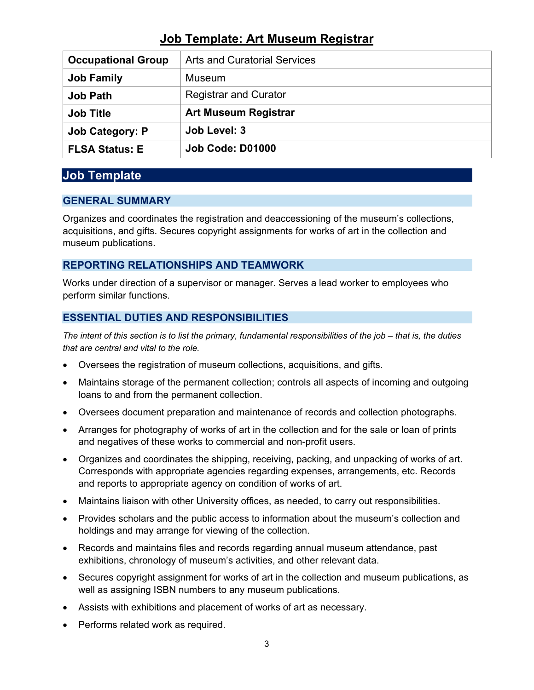| <b>Occupational Group</b> | <b>Arts and Curatorial Services</b> |
|---------------------------|-------------------------------------|
| <b>Job Family</b>         | Museum                              |
| <b>Job Path</b>           | <b>Registrar and Curator</b>        |
| <b>Job Title</b>          | <b>Art Museum Registrar</b>         |
| <b>Job Category: P</b>    | Job Level: 3                        |
| <b>FLSA Status: E</b>     | Job Code: D01000                    |

# **Job Template**

## **GENERAL SUMMARY**

Organizes and coordinates the registration and deaccessioning of the museum's collections, acquisitions, and gifts. Secures copyright assignments for works of art in the collection and museum publications.

# **REPORTING RELATIONSHIPS AND TEAMWORK**

Works under direction of a supervisor or manager. Serves a lead worker to employees who perform similar functions.

# **ESSENTIAL DUTIES AND RESPONSIBILITIES**

*The intent of this section is to list the primary, fundamental responsibilities of the job – that is, the duties that are central and vital to the role.*

- Oversees the registration of museum collections, acquisitions, and gifts.
- Maintains storage of the permanent collection; controls all aspects of incoming and outgoing loans to and from the permanent collection.
- Oversees document preparation and maintenance of records and collection photographs.
- Arranges for photography of works of art in the collection and for the sale or loan of prints and negatives of these works to commercial and non-profit users.
- Organizes and coordinates the shipping, receiving, packing, and unpacking of works of art. Corresponds with appropriate agencies regarding expenses, arrangements, etc. Records and reports to appropriate agency on condition of works of art.
- Maintains liaison with other University offices, as needed, to carry out responsibilities.
- Provides scholars and the public access to information about the museum's collection and holdings and may arrange for viewing of the collection.
- Records and maintains files and records regarding annual museum attendance, past exhibitions, chronology of museum's activities, and other relevant data.
- Secures copyright assignment for works of art in the collection and museum publications, as well as assigning ISBN numbers to any museum publications.
- Assists with exhibitions and placement of works of art as necessary.
- Performs related work as required.